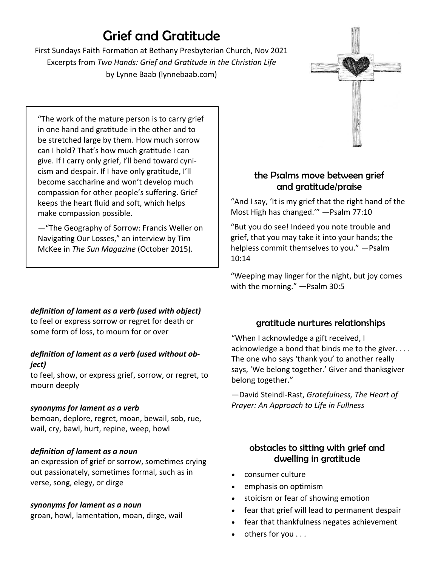# Grief and Gratitude

First Sundays Faith Formation at Bethany Presbyterian Church, Nov 2021 Excerpts from *Two Hands: Grief and Gratitude in the Christian Life*  by Lynne Baab (lynnebaab.com)

"The work of the mature person is to carry grief in one hand and gratitude in the other and to be stretched large by them. How much sorrow can I hold? That's how much gratitude I can give. If I carry only grief, I'll bend toward cynicism and despair. If I have only gratitude, I'll become saccharine and won't develop much compassion for other people's suffering. Grief keeps the heart fluid and soft, which helps make compassion possible.

—"The Geography of Sorrow: Francis Weller on Navigating Our Losses," an interview by Tim McKee in *The Sun Magazine* (October 2015).

# *definition of lament as a verb (used with object)*

to feel or express sorrow or regret for death or some form of loss, to mourn for or over

### *definition of lament as a verb (used without object)*

to feel, show, or express grief, sorrow, or regret, to mourn deeply

### *synonyms for lament as a verb*

bemoan, deplore, regret, moan, bewail, sob, rue, wail, cry, bawl, hurt, repine, weep, howl

# *definition of lament as a noun*

an expression of grief or sorrow, sometimes crying out passionately, sometimes formal, such as in verse, song, elegy, or dirge

### *synonyms for lament as a noun*

groan, howl, lamentation, moan, dirge, wail

# the Psalms move between grief and gratitude/praise

"And I say, 'It is my grief that the right hand of the Most High has changed.'" —Psalm 77:10

"But you do see! Indeed you note trouble and grief, that you may take it into your hands; the helpless commit themselves to you." —Psalm 10:14

"Weeping may linger for the night, but joy comes with the morning." —Psalm 30:5

# gratitude nurtures relationships

"When I acknowledge a gift received, I acknowledge a bond that binds me to the giver. . . . The one who says 'thank you' to another really says, 'We belong together.' Giver and thanksgiver belong together."

—David Steindl-Rast, *Gratefulness, The Heart of Prayer: An Approach to Life in Fullness*

# obstacles to sitting with grief and dwelling in gratitude

- consumer culture
- emphasis on optimism
- stoicism or fear of showing emotion
- fear that grief will lead to permanent despair
- fear that thankfulness negates achievement
- others for you . . .